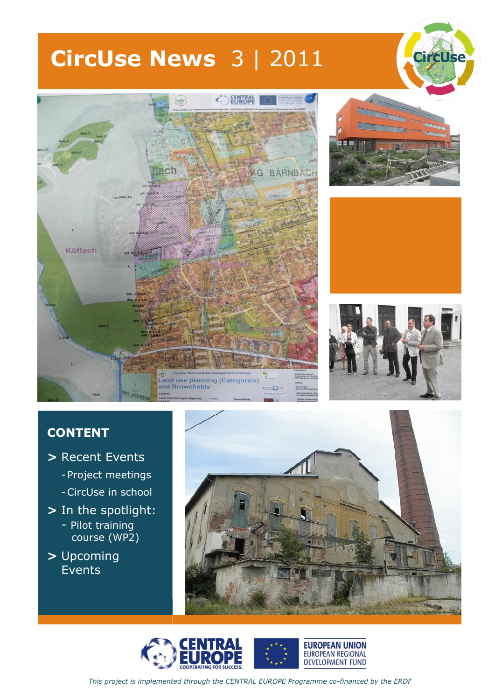### **CircUse News** 3 | 2011



Land use planning (Categories)<br>and Brownfields



**Circu** 





#### **CONTENT**

- **>** Recent Events
	- -Project meetings
	- -CircUse in school
- **>** In the spotlight: - Pilot training course (WP2)
- **>** Upcoming Events



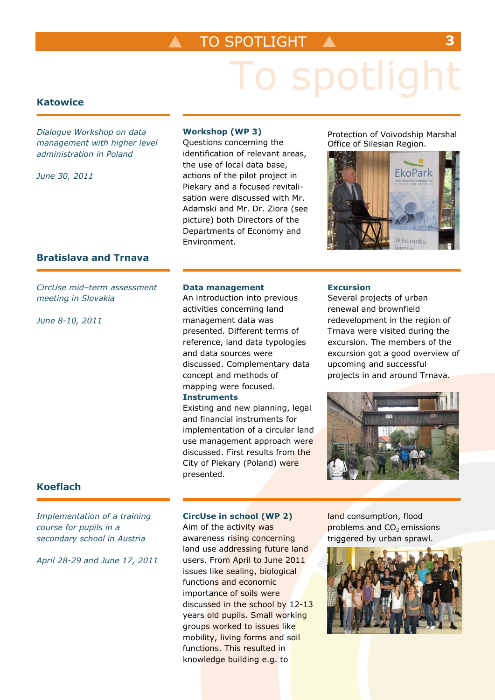#### TO SPOTLIGHT **3**

# spotlight

#### **Katowice**

*Dialogue Workshop on data management with higher level administration in Poland*

*June 30, 2011*

#### **Workshop (WP 3)**

Questions concerning the identification of relevant areas, the use of local data base, actions of the pilot project in Piekary and a focused revitalisation were discussed with Mr. Adamski and Mr. Dr. Ziora (see picture) both Directors of the Departments of Economy and Environment.

Protection of Voivodship Marshal Office of Silesian Region.



#### **Bratislava and Trnava**

*CircUse mid–term assessment meeting in Slovakia*

*June 8-10, 2011*

#### **Data management**

An introduction into previous activities concerning land management data was presented. Different terms of reference, land data typologies and data sources were discussed. Complementary data concept and methods of mapping were focused.

#### **Instruments**

Existing and new planning, legal and financial instruments for implementation of a circular land use management approach were discussed. First results from the City of Piekary (Poland) were presented.

#### **Excursion**

Several projects of urban renewal and brownfield redevelopment in the region of Trnava were visited during the excursion. The members of the excursion got a good overview of upcoming and successful projects in and around Trnava.



#### **Koeflach**

*Implementation of a training course for pupils in a secondary school in Austria*

*April 28-29 and June 17, 2011*

#### **CircUse in school (WP 2)**

Aim of the activity was awareness rising concerning land use addressing future land users. From April to June 2011. issues like sealing, biological functions and economic importance of soils were discussed in the school by 12-13 years old pupils. Small working groups worked to issues like mobility, living forms and soil functions. This resulted in knowledge building e.g. to

land consumption, flood problems and  $CO<sub>2</sub>$  emissions triggered by urban sprawl.

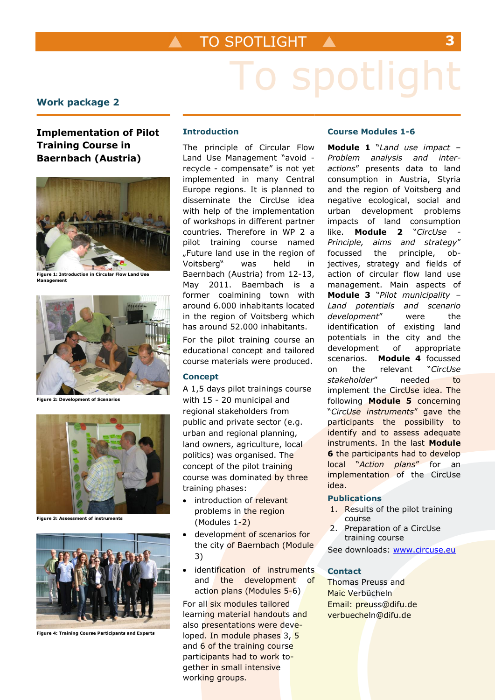#### **TO SPOTLIGHT**

# spotlight

#### **Work package 2**

**Implementation of Pilot Training Course in Baernbach (Austria)**



**Figure 1: Introduction in Circular Flow Land Use Management**



**Figure 2: Development of Scenarios**



**Figure 3: Assessment of instruments**



**Figure 4: Training Course Participants and Experts**

#### **Introduction**

The principle of Circular Flow Land Use Management "avoid recycle - compensate" is not yet implemented in many Central Europe regions. It is planned to disseminate the CircUse idea with help of the implementation of workshops in different partner countries. Therefore in WP 2 a pilot training course named "Future land use in the region of Voitsberg" was held in Baernbach (Austria) from 12-13, May 2011. Baernbach is a former coalmining town with around 6.000 inhabitants located in the region of Voitsberg which has around 52.000 inhabitants.

For the pilot training course an educational concept and tailored course materials were produced.

#### **Concept**

A 1,5 days pilot trainings course with 15 - 20 municipal and regional stakeholders from public and private sector (e.g. urban and regional planning, land owners, agriculture, local politics) was organised. The concept of the pilot training course was dominated by three training phases:

- introduction of relevant problems in the region (Modules 1-2)
- development of scenarios for the city of Baernbach (Module 3)
- identification of instruments and the development of action plans (Modules 5-6)

For all six modules tailored learning material handouts and also presentations were developed. In module phases 3, 5 and 6 of the training course participants had to work together in small intensive working groups.

#### **Course Modules 1-6**

**Module 1** "*Land use impact – Problem analysis and interactions*" presents data to land consumption in Austria, Styria and the region of Voitsberg and negative ecological, social and urban development problems impacts of land consumption like. **Module 2** "CircUse *Principle, aims and strategy*" focussed the principle, objectives, strategy and fields of action of circular flow land use management. Main aspects of **Module 3** "*Pilot municipality – Land potentials and scenario development*" were the identification of existing land potentials in the city and the development of appropriate scenarios. **Module 4** focussed on the relevant "*CircUse*  stakeholder" needed to implement the CircUse idea. The following **Module 5** concerning "*CircUse instruments*" gave the participants the possibility to identify and to assess adequate instruments. In the last **Module 6** the participants had to develop local "*Action plans*" for an implementation of the CircUse idea.

#### **Publications**

- 1. Results of the pilot training course
- 2. Preparation of a CircUse training course

See downloads: [www.circuse.eu](http://www.circuse.eu/)

#### **Contact**

Thomas Preuss and Maic Verbücheln Email: preuss@difu.de verbuecheln@difu.de